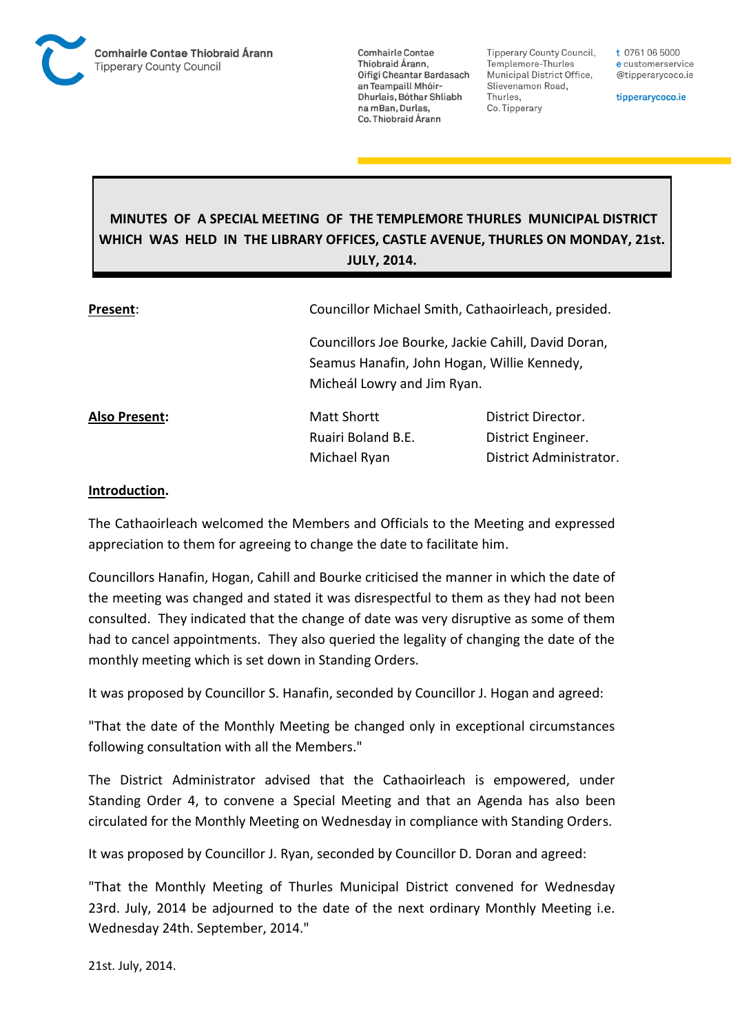

**Tipperary County Council,** Templemore-Thurles Municipal District Office, Slievenamon Road, Thurles, Co. Tipperary

t 0761 06 5000 e customerservice @tipperarycoco.ie

tipperarycoco.ie

# **MINUTES OF A SPECIAL MEETING OF THE TEMPLEMORE THURLES MUNICIPAL DISTRICT WHICH WAS HELD IN THE LIBRARY OFFICES, CASTLE AVENUE, THURLES ON MONDAY, 21st. JULY, 2014.**

| Present:      | Councillor Michael Smith, Cathaoirleach, presided.                                                                                |                         |
|---------------|-----------------------------------------------------------------------------------------------------------------------------------|-------------------------|
|               | Councillors Joe Bourke, Jackie Cahill, David Doran,<br>Seamus Hanafin, John Hogan, Willie Kennedy,<br>Micheál Lowry and Jim Ryan. |                         |
| Also Present: | <b>Matt Shortt</b>                                                                                                                | District Director.      |
|               | Ruairi Boland B.E.                                                                                                                | District Engineer.      |
|               | Michael Ryan                                                                                                                      | District Administrator. |

#### **Introduction.**

The Cathaoirleach welcomed the Members and Officials to the Meeting and expressed appreciation to them for agreeing to change the date to facilitate him.

Councillors Hanafin, Hogan, Cahill and Bourke criticised the manner in which the date of the meeting was changed and stated it was disrespectful to them as they had not been consulted. They indicated that the change of date was very disruptive as some of them had to cancel appointments. They also queried the legality of changing the date of the monthly meeting which is set down in Standing Orders.

It was proposed by Councillor S. Hanafin, seconded by Councillor J. Hogan and agreed:

"That the date of the Monthly Meeting be changed only in exceptional circumstances following consultation with all the Members."

The District Administrator advised that the Cathaoirleach is empowered, under Standing Order 4, to convene a Special Meeting and that an Agenda has also been circulated for the Monthly Meeting on Wednesday in compliance with Standing Orders.

It was proposed by Councillor J. Ryan, seconded by Councillor D. Doran and agreed:

"That the Monthly Meeting of Thurles Municipal District convened for Wednesday 23rd. July, 2014 be adjourned to the date of the next ordinary Monthly Meeting i.e. Wednesday 24th. September, 2014."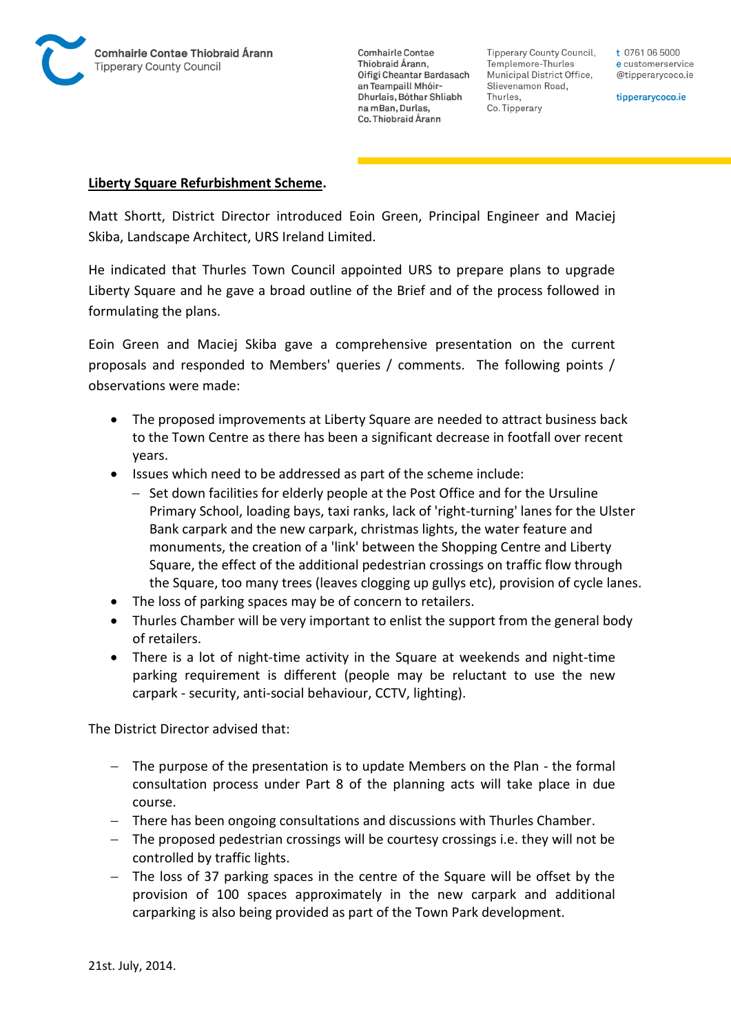

**Tipperary County Council,** Templemore-Thurles Municipal District Office, Slievenamon Road, Thurles, Co. Tipperary

t 0761 06 5000 e customerservice @tipperarycoco.ie

tipperarycoco.ie

#### **Liberty Square Refurbishment Scheme.**

Matt Shortt, District Director introduced Eoin Green, Principal Engineer and Maciej Skiba, Landscape Architect, URS Ireland Limited.

He indicated that Thurles Town Council appointed URS to prepare plans to upgrade Liberty Square and he gave a broad outline of the Brief and of the process followed in formulating the plans.

Eoin Green and Maciej Skiba gave a comprehensive presentation on the current proposals and responded to Members' queries / comments. The following points / observations were made:

- The proposed improvements at Liberty Square are needed to attract business back to the Town Centre as there has been a significant decrease in footfall over recent years.
- Issues which need to be addressed as part of the scheme include:
	- $-$  Set down facilities for elderly people at the Post Office and for the Ursuline Primary School, loading bays, taxi ranks, lack of 'right-turning' lanes for the Ulster Bank carpark and the new carpark, christmas lights, the water feature and monuments, the creation of a 'link' between the Shopping Centre and Liberty Square, the effect of the additional pedestrian crossings on traffic flow through the Square, too many trees (leaves clogging up gullys etc), provision of cycle lanes.
- The loss of parking spaces may be of concern to retailers.
- Thurles Chamber will be very important to enlist the support from the general body of retailers.
- There is a lot of night-time activity in the Square at weekends and night-time parking requirement is different (people may be reluctant to use the new carpark - security, anti-social behaviour, CCTV, lighting).

The District Director advised that:

- The purpose of the presentation is to update Members on the Plan the formal consultation process under Part 8 of the planning acts will take place in due course.
- There has been ongoing consultations and discussions with Thurles Chamber.
- The proposed pedestrian crossings will be courtesy crossings i.e. they will not be controlled by traffic lights.
- The loss of 37 parking spaces in the centre of the Square will be offset by the provision of 100 spaces approximately in the new carpark and additional carparking is also being provided as part of the Town Park development.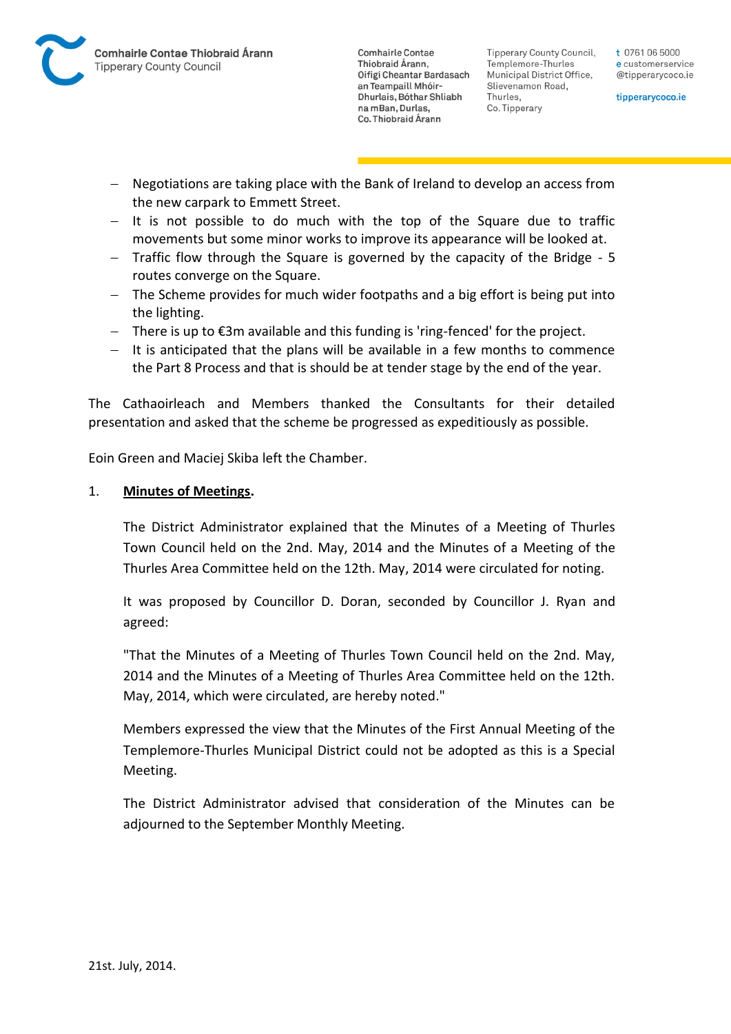

Tipperary County Council. Templemore-Thurles Municipal District Office, Slievenamon Road, Thurles, Co. Tipperary

t 0761 06 5000 e customerservice @tipperarycoco.ie

tipperarycoco.ie

- Negotiations are taking place with the Bank of Ireland to develop an access from the new carpark to Emmett Street.
- $-$  It is not possible to do much with the top of the Square due to traffic movements but some minor works to improve its appearance will be looked at.
- Traffic flow through the Square is governed by the capacity of the Bridge 5 routes converge on the Square.
- The Scheme provides for much wider footpaths and a big effort is being put into the lighting.
- There is up to €3m available and this funding is 'ring-fenced' for the project.
- $-$  It is anticipated that the plans will be available in a few months to commence the Part 8 Process and that is should be at tender stage by the end of the year.

The Cathaoirleach and Members thanked the Consultants for their detailed presentation and asked that the scheme be progressed as expeditiously as possible.

Eoin Green and Maciej Skiba left the Chamber.

### 1. **Minutes of Meetings.**

The District Administrator explained that the Minutes of a Meeting of Thurles Town Council held on the 2nd. May, 2014 and the Minutes of a Meeting of the Thurles Area Committee held on the 12th. May, 2014 were circulated for noting.

It was proposed by Councillor D. Doran, seconded by Councillor J. Ryan and agreed:

"That the Minutes of a Meeting of Thurles Town Council held on the 2nd. May, 2014 and the Minutes of a Meeting of Thurles Area Committee held on the 12th. May, 2014, which were circulated, are hereby noted."

Members expressed the view that the Minutes of the First Annual Meeting of the Templemore-Thurles Municipal District could not be adopted as this is a Special Meeting.

The District Administrator advised that consideration of the Minutes can be adjourned to the September Monthly Meeting.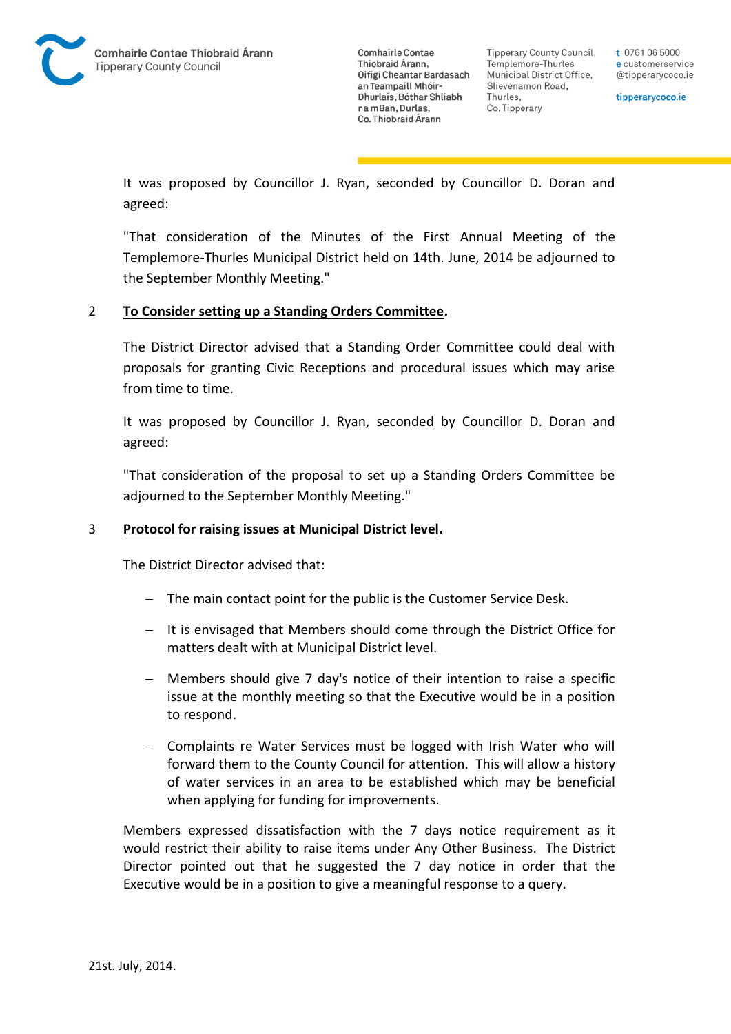

**Tipperary County Council,** Templemore-Thurles Municipal District Office, Slievenamon Road, Thurles, Co. Tipperary

t 0761 06 5000 e customerservice @tipperarycoco.ie

tipperarycoco.ie

It was proposed by Councillor J. Ryan, seconded by Councillor D. Doran and agreed:

"That consideration of the Minutes of the First Annual Meeting of the Templemore-Thurles Municipal District held on 14th. June, 2014 be adjourned to the September Monthly Meeting."

### 2 **To Consider setting up a Standing Orders Committee.**

The District Director advised that a Standing Order Committee could deal with proposals for granting Civic Receptions and procedural issues which may arise from time to time.

It was proposed by Councillor J. Ryan, seconded by Councillor D. Doran and agreed:

"That consideration of the proposal to set up a Standing Orders Committee be adjourned to the September Monthly Meeting."

### 3 **Protocol for raising issues at Municipal District level.**

The District Director advised that:

- $-$  The main contact point for the public is the Customer Service Desk.
- $-$  It is envisaged that Members should come through the District Office for matters dealt with at Municipal District level.
- Members should give 7 day's notice of their intention to raise a specific issue at the monthly meeting so that the Executive would be in a position to respond.
- Complaints re Water Services must be logged with Irish Water who will forward them to the County Council for attention. This will allow a history of water services in an area to be established which may be beneficial when applying for funding for improvements.

Members expressed dissatisfaction with the 7 days notice requirement as it would restrict their ability to raise items under Any Other Business. The District Director pointed out that he suggested the 7 day notice in order that the Executive would be in a position to give a meaningful response to a query.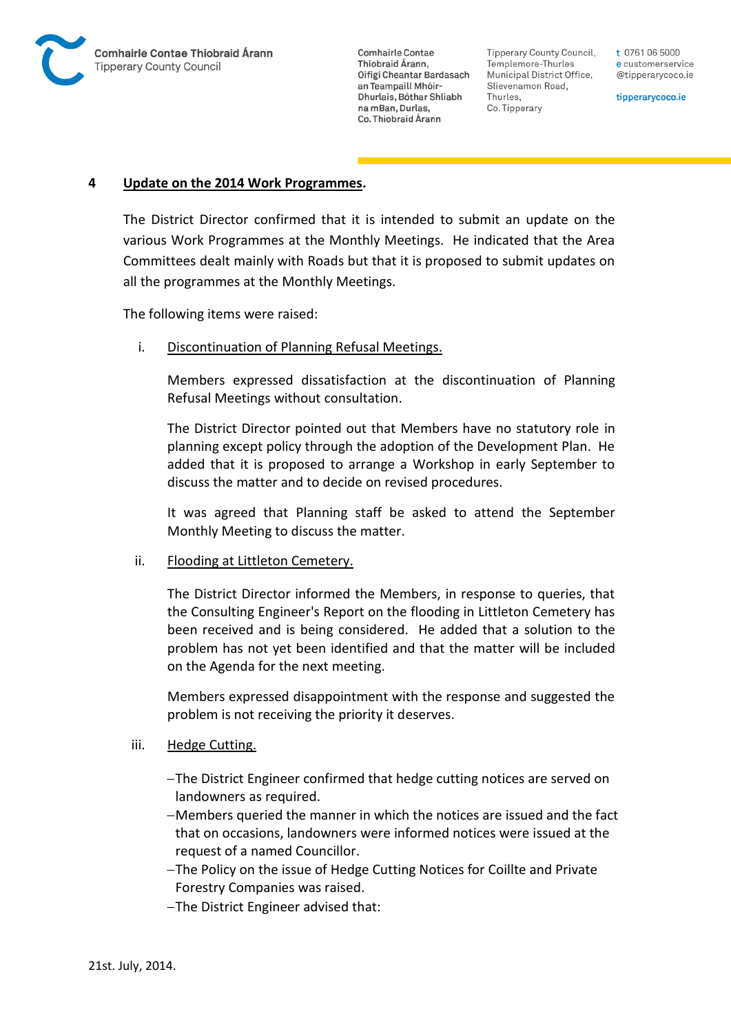

**Tipperary County Council,** Templemore-Thurles Municipal District Office, Slievenamon Road, Thurles, Co. Tipperary

t 0761 06 5000 e customerservice @tipperarycoco.ie

tipperarycoco.ie

#### **4 Update on the 2014 Work Programmes.**

The District Director confirmed that it is intended to submit an update on the various Work Programmes at the Monthly Meetings. He indicated that the Area Committees dealt mainly with Roads but that it is proposed to submit updates on all the programmes at the Monthly Meetings.

The following items were raised:

i. Discontinuation of Planning Refusal Meetings.

Members expressed dissatisfaction at the discontinuation of Planning Refusal Meetings without consultation.

The District Director pointed out that Members have no statutory role in planning except policy through the adoption of the Development Plan. He added that it is proposed to arrange a Workshop in early September to discuss the matter and to decide on revised procedures.

It was agreed that Planning staff be asked to attend the September Monthly Meeting to discuss the matter.

#### ii. Flooding at Littleton Cemetery.

The District Director informed the Members, in response to queries, that the Consulting Engineer's Report on the flooding in Littleton Cemetery has been received and is being considered. He added that a solution to the problem has not yet been identified and that the matter will be included on the Agenda for the next meeting.

Members expressed disappointment with the response and suggested the problem is not receiving the priority it deserves.

#### iii. Hedge Cutting.

- The District Engineer confirmed that hedge cutting notices are served on landowners as required.
- Members queried the manner in which the notices are issued and the fact that on occasions, landowners were informed notices were issued at the request of a named Councillor.
- The Policy on the issue of Hedge Cutting Notices for Coillte and Private Forestry Companies was raised.
- The District Engineer advised that: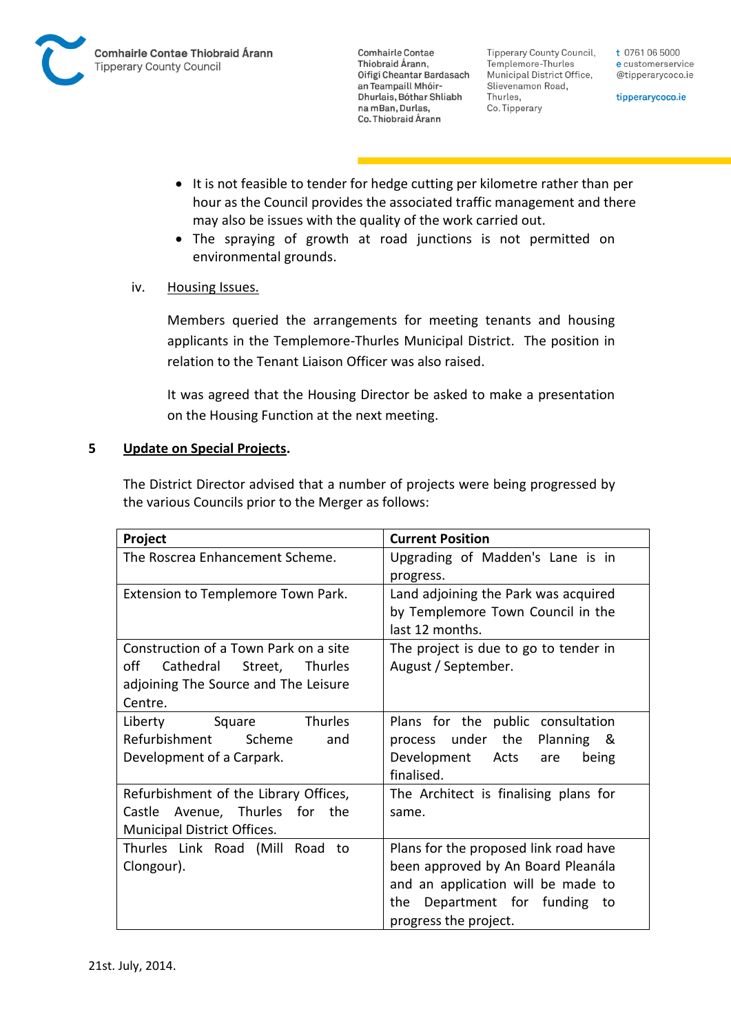

**Tipperary County Council,** Templemore-Thurles Municipal District Office, Slievenamon Road, Thurles, Co. Tipperary

t 0761 06 5000 e customerservice @tipperarycoco.ie

tipperarycoco.ie

- It is not feasible to tender for hedge cutting per kilometre rather than per hour as the Council provides the associated traffic management and there may also be issues with the quality of the work carried out.
- The spraying of growth at road junctions is not permitted on environmental grounds.

## iv. Housing Issues.

Members queried the arrangements for meeting tenants and housing applicants in the Templemore-Thurles Municipal District. The position in relation to the Tenant Liaison Officer was also raised.

It was agreed that the Housing Director be asked to make a presentation on the Housing Function at the next meeting.

### **5 Update on Special Projects.**

The District Director advised that a number of projects were being progressed by the various Councils prior to the Merger as follows:

| Project                                                                                                                                | <b>Current Position</b>                                                                                                                                                        |
|----------------------------------------------------------------------------------------------------------------------------------------|--------------------------------------------------------------------------------------------------------------------------------------------------------------------------------|
| The Roscrea Enhancement Scheme.                                                                                                        | Upgrading of Madden's Lane is in<br>progress.                                                                                                                                  |
| Extension to Templemore Town Park.                                                                                                     | Land adjoining the Park was acquired<br>by Templemore Town Council in the<br>last 12 months.                                                                                   |
| Construction of a Town Park on a site<br>off<br>Cathedral Street,<br><b>Thurles</b><br>adjoining The Source and The Leisure<br>Centre. | The project is due to go to tender in<br>August / September.                                                                                                                   |
| Square<br><b>Thurles</b><br>Liberty<br>Refurbishment<br>Scheme<br>and<br>Development of a Carpark.                                     | Plans for the public consultation<br>under the<br>Planning &<br>process<br>Development Acts<br>are<br>being<br>finalised.                                                      |
| Refurbishment of the Library Offices,<br>Castle Avenue, Thurles for<br>the<br>Municipal District Offices.                              | The Architect is finalising plans for<br>same.                                                                                                                                 |
| Thurles Link Road (Mill Road<br>to<br>Clongour).                                                                                       | Plans for the proposed link road have<br>been approved by An Board Pleanála<br>and an application will be made to<br>Department for funding to<br>the<br>progress the project. |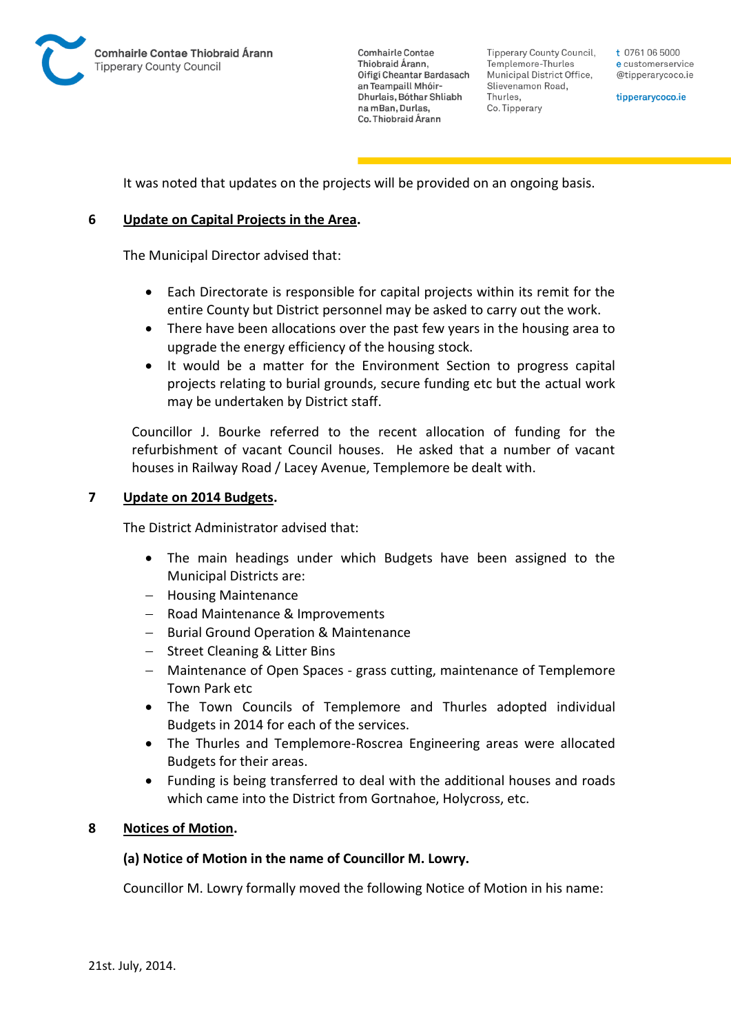

**Tipperary County Council,** Templemore-Thurles Municipal District Office, Slievenamon Road, Thurles, Co. Tipperary

t 0761 06 5000 e customerservice @tipperarycoco.ie

tipperarycoco.ie

It was noted that updates on the projects will be provided on an ongoing basis.

## **6 Update on Capital Projects in the Area.**

The Municipal Director advised that:

- Each Directorate is responsible for capital projects within its remit for the entire County but District personnel may be asked to carry out the work.
- There have been allocations over the past few years in the housing area to upgrade the energy efficiency of the housing stock.
- It would be a matter for the Environment Section to progress capital projects relating to burial grounds, secure funding etc but the actual work may be undertaken by District staff.

Councillor J. Bourke referred to the recent allocation of funding for the refurbishment of vacant Council houses. He asked that a number of vacant houses in Railway Road / Lacey Avenue, Templemore be dealt with.

### **7 Update on 2014 Budgets.**

The District Administrator advised that:

- The main headings under which Budgets have been assigned to the Municipal Districts are:
- Housing Maintenance
- Road Maintenance & Improvements
- Burial Ground Operation & Maintenance
- Street Cleaning & Litter Bins
- Maintenance of Open Spaces grass cutting, maintenance of Templemore Town Park etc
- The Town Councils of Templemore and Thurles adopted individual Budgets in 2014 for each of the services.
- The Thurles and Templemore-Roscrea Engineering areas were allocated Budgets for their areas.
- Funding is being transferred to deal with the additional houses and roads which came into the District from Gortnahoe, Holycross, etc.

## **8 Notices of Motion.**

## **(a) Notice of Motion in the name of Councillor M. Lowry.**

Councillor M. Lowry formally moved the following Notice of Motion in his name: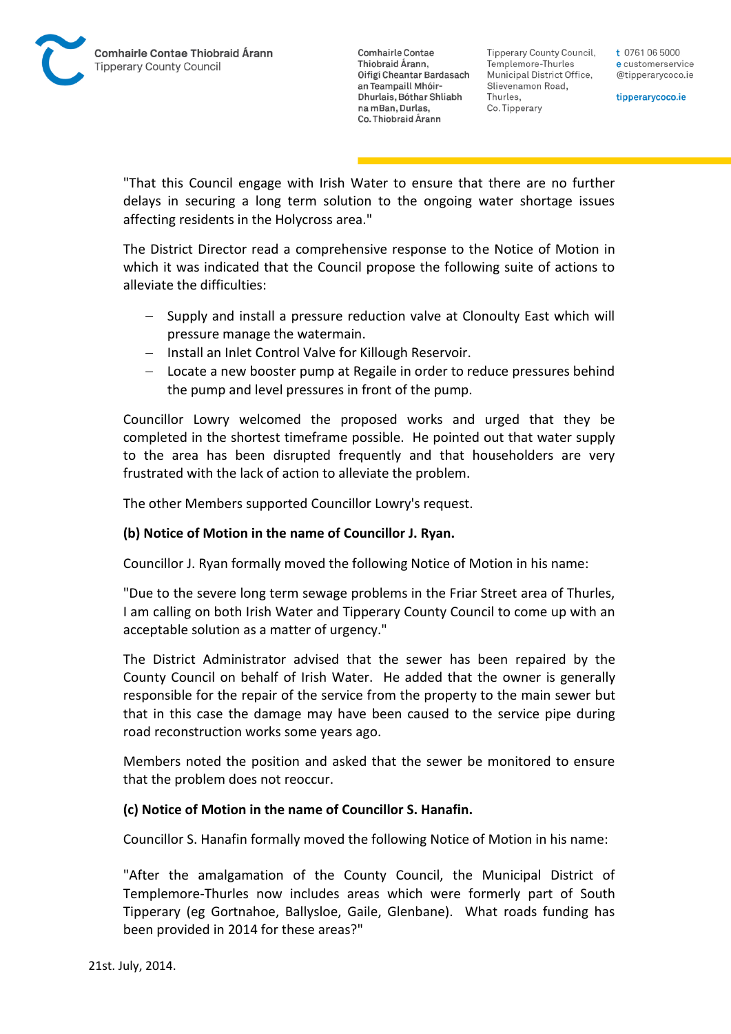

Tipperary County Council. Templemore-Thurles Municipal District Office, Slievenamon Road, Thurles, Co. Tipperary

t 0761 06 5000 e customerservice @tipperarycoco.ie

tipperarycoco.ie

"That this Council engage with Irish Water to ensure that there are no further delays in securing a long term solution to the ongoing water shortage issues affecting residents in the Holycross area."

The District Director read a comprehensive response to the Notice of Motion in which it was indicated that the Council propose the following suite of actions to alleviate the difficulties:

- Supply and install a pressure reduction valve at Clonoulty East which will pressure manage the watermain.
- Install an Inlet Control Valve for Killough Reservoir.
- Locate a new booster pump at Regaile in order to reduce pressures behind the pump and level pressures in front of the pump.

Councillor Lowry welcomed the proposed works and urged that they be completed in the shortest timeframe possible. He pointed out that water supply to the area has been disrupted frequently and that householders are very frustrated with the lack of action to alleviate the problem.

The other Members supported Councillor Lowry's request.

### **(b) Notice of Motion in the name of Councillor J. Ryan.**

Councillor J. Ryan formally moved the following Notice of Motion in his name:

"Due to the severe long term sewage problems in the Friar Street area of Thurles, I am calling on both Irish Water and Tipperary County Council to come up with an acceptable solution as a matter of urgency."

The District Administrator advised that the sewer has been repaired by the County Council on behalf of Irish Water. He added that the owner is generally responsible for the repair of the service from the property to the main sewer but that in this case the damage may have been caused to the service pipe during road reconstruction works some years ago.

Members noted the position and asked that the sewer be monitored to ensure that the problem does not reoccur.

### **(c) Notice of Motion in the name of Councillor S. Hanafin.**

Councillor S. Hanafin formally moved the following Notice of Motion in his name:

"After the amalgamation of the County Council, the Municipal District of Templemore-Thurles now includes areas which were formerly part of South Tipperary (eg Gortnahoe, Ballysloe, Gaile, Glenbane). What roads funding has been provided in 2014 for these areas?"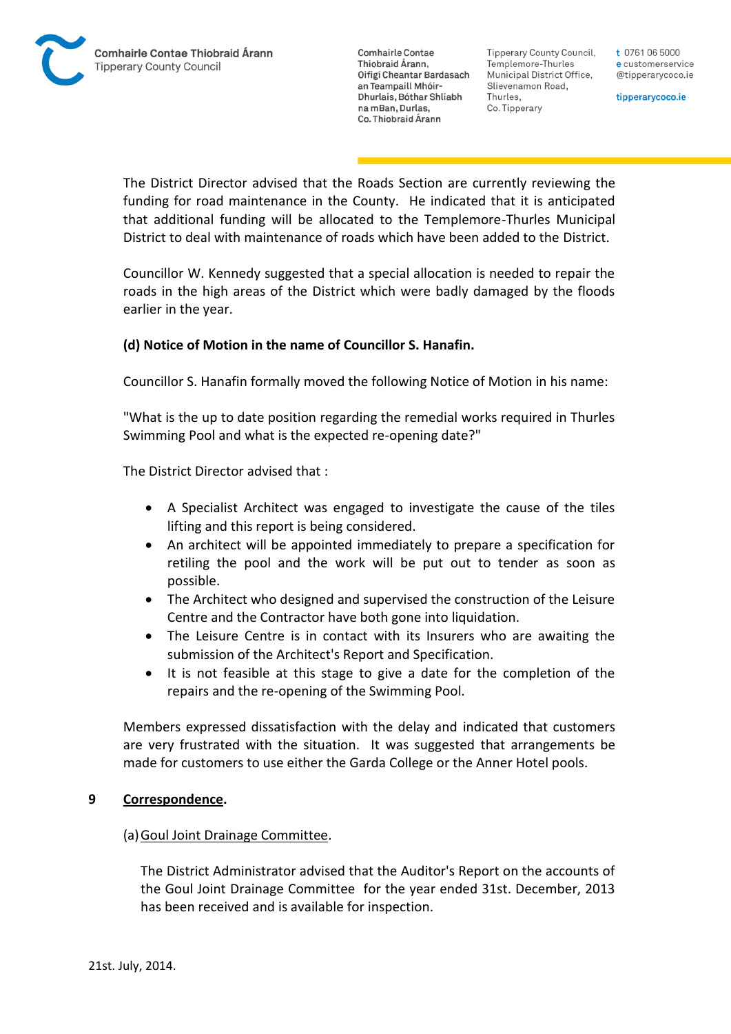Tipperary County Council. Templemore-Thurles Municipal District Office, Slievenamon Road, Thurles, Co. Tipperary

t 0761 06 5000 e customerservice @tipperarycoco.ie

tipperarycoco.ie

The District Director advised that the Roads Section are currently reviewing the funding for road maintenance in the County. He indicated that it is anticipated that additional funding will be allocated to the Templemore-Thurles Municipal District to deal with maintenance of roads which have been added to the District.

Councillor W. Kennedy suggested that a special allocation is needed to repair the roads in the high areas of the District which were badly damaged by the floods earlier in the year.

## **(d) Notice of Motion in the name of Councillor S. Hanafin.**

Councillor S. Hanafin formally moved the following Notice of Motion in his name:

"What is the up to date position regarding the remedial works required in Thurles Swimming Pool and what is the expected re-opening date?"

The District Director advised that :

- A Specialist Architect was engaged to investigate the cause of the tiles lifting and this report is being considered.
- An architect will be appointed immediately to prepare a specification for retiling the pool and the work will be put out to tender as soon as possible.
- The Architect who designed and supervised the construction of the Leisure Centre and the Contractor have both gone into liquidation.
- The Leisure Centre is in contact with its Insurers who are awaiting the submission of the Architect's Report and Specification.
- It is not feasible at this stage to give a date for the completion of the repairs and the re-opening of the Swimming Pool.

Members expressed dissatisfaction with the delay and indicated that customers are very frustrated with the situation. It was suggested that arrangements be made for customers to use either the Garda College or the Anner Hotel pools.

### **9 Correspondence.**

### (a)Goul Joint Drainage Committee.

The District Administrator advised that the Auditor's Report on the accounts of the Goul Joint Drainage Committee for the year ended 31st. December, 2013 has been received and is available for inspection.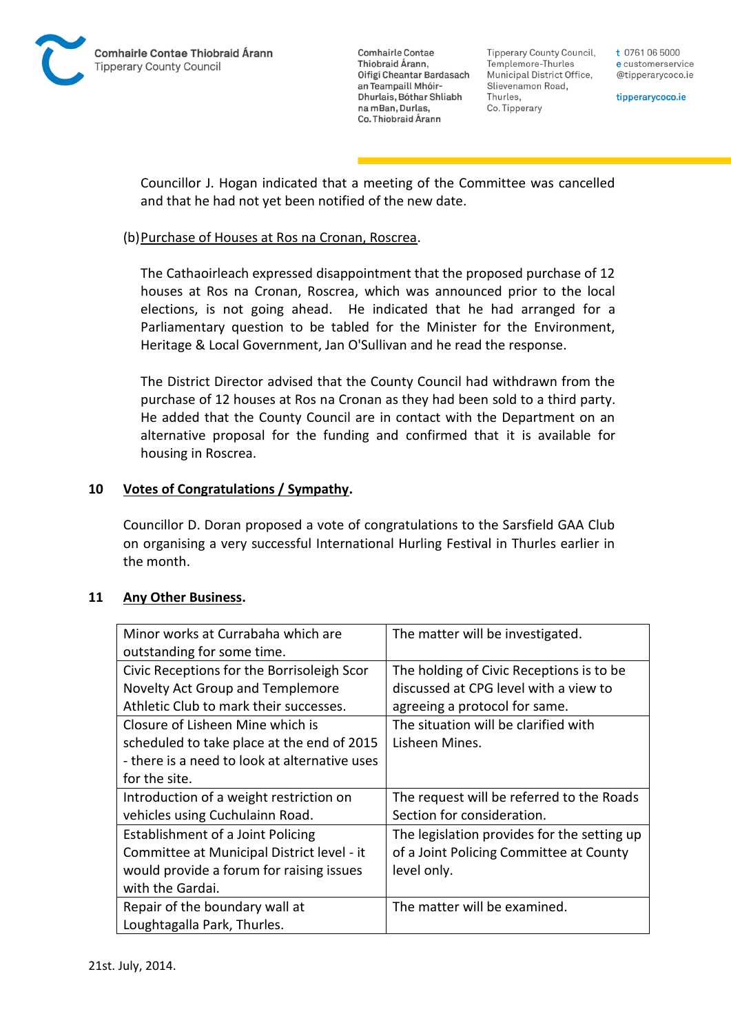

**Tipperary County Council,** Templemore-Thurles Municipal District Office, Slievenamon Road, Thurles, Co. Tipperary

t 0761 06 5000 e customerservice @tipperarycoco.ie

tipperarycoco.ie

Councillor J. Hogan indicated that a meeting of the Committee was cancelled and that he had not yet been notified of the new date.

## (b)Purchase of Houses at Ros na Cronan, Roscrea.

The Cathaoirleach expressed disappointment that the proposed purchase of 12 houses at Ros na Cronan, Roscrea, which was announced prior to the local elections, is not going ahead. He indicated that he had arranged for a Parliamentary question to be tabled for the Minister for the Environment, Heritage & Local Government, Jan O'Sullivan and he read the response.

The District Director advised that the County Council had withdrawn from the purchase of 12 houses at Ros na Cronan as they had been sold to a third party. He added that the County Council are in contact with the Department on an alternative proposal for the funding and confirmed that it is available for housing in Roscrea.

## **10 Votes of Congratulations / Sympathy.**

Councillor D. Doran proposed a vote of congratulations to the Sarsfield GAA Club on organising a very successful International Hurling Festival in Thurles earlier in the month.

### **11 Any Other Business.**

| Minor works at Currabaha which are            | The matter will be investigated.            |
|-----------------------------------------------|---------------------------------------------|
| outstanding for some time.                    |                                             |
| Civic Receptions for the Borrisoleigh Scor    | The holding of Civic Receptions is to be    |
| Novelty Act Group and Templemore              | discussed at CPG level with a view to       |
| Athletic Club to mark their successes.        | agreeing a protocol for same.               |
| Closure of Lisheen Mine which is              | The situation will be clarified with        |
| scheduled to take place at the end of 2015    | Lisheen Mines.                              |
| - there is a need to look at alternative uses |                                             |
| for the site.                                 |                                             |
| Introduction of a weight restriction on       | The request will be referred to the Roads   |
| vehicles using Cuchulainn Road.               | Section for consideration.                  |
| Establishment of a Joint Policing             | The legislation provides for the setting up |
| Committee at Municipal District level - it    | of a Joint Policing Committee at County     |
| would provide a forum for raising issues      | level only.                                 |
| with the Gardai.                              |                                             |
| Repair of the boundary wall at                | The matter will be examined.                |
| Loughtagalla Park, Thurles.                   |                                             |